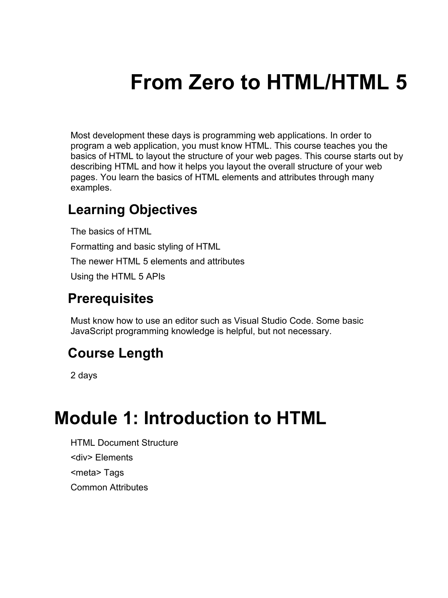# **From Zero to HTML/HTML 5**

Most development these days is programming web applications. In order to program a web application, you must know HTML. This course teaches you the basics of HTML to layout the structure of your web pages. This course starts out by describing HTML and how it helps you layout the overall structure of your web pages. You learn the basics of HTML elements and attributes through many examples.

#### **Learning Objectives**

The basics of HTML Formatting and basic styling of HTML The newer HTML 5 elements and attributes Using the HTML 5 APIs

#### **Prerequisites**

Must know how to use an editor such as Visual Studio Code. Some basic JavaScript programming knowledge is helpful, but not necessary.

#### **Course Length**

2 days

#### **Module 1: Introduction to HTML**

HTML Document Structure <div> Elements <meta> Tags Common Attributes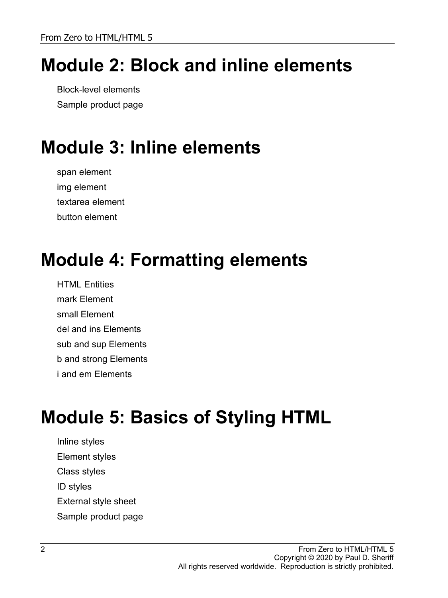# **Module 2: Block and inline elements**

Block-level elements Sample product page

# **Module 3: Inline elements**

span element img element textarea element button element

#### **Module 4: Formatting elements**

**HTML Entities** mark Element small Element del and ins Elements sub and sup Elements b and strong Elements i and em Elements

# **Module 5: Basics of Styling HTML**

Inline styles Element styles Class styles ID styles External style sheet Sample product page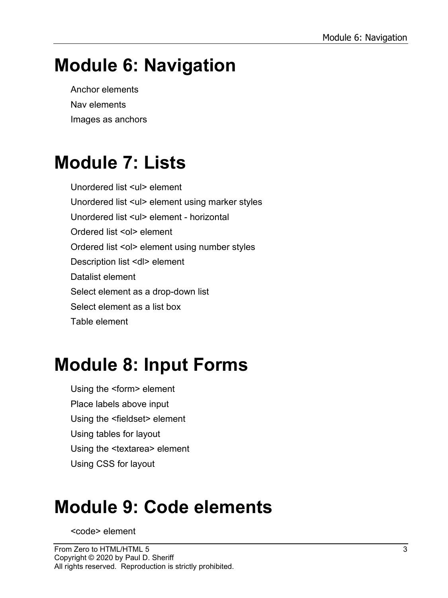# **Module 6: Navigation**

Anchor elements Nav elements Images as anchors

### **Module 7: Lists**

Unordered list <ul> element Unordered list <ul> element using marker styles Unordered list <ul> element - horizontal Ordered list <ol> element Ordered list <ol> element using number styles Description list <dl> element Datalist element Select element as a drop-down list Select element as a list box Table element

# **Module 8: Input Forms**

Using the <form> element Place labels above input Using the <fieldset> element Using tables for layout Using the <textarea> element Using CSS for layout

### **Module 9: Code elements**

<code> element</code>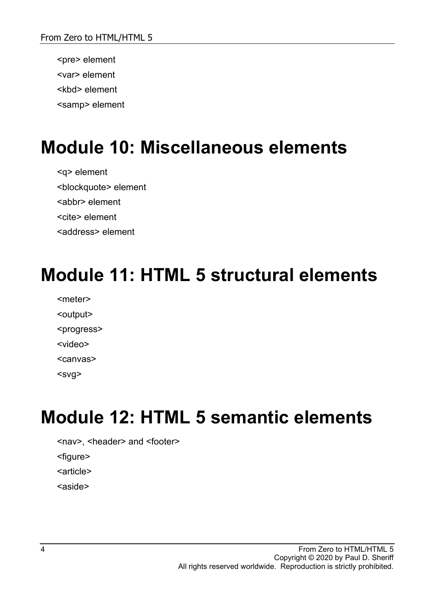<pre> element <var> element <kbd> element <samp> element

### **Module 10: Miscellaneous elements**

<q> element <blockquote> element <abbr> element <cite> element <address> element

#### **Module 11: HTML 5 structural elements**

<meter> <output> <progress> <video>

<canvas>

<svg>

### **Module 12: HTML 5 semantic elements**

<nav>, <header> and <footer>

<figure>

<article>

<aside>